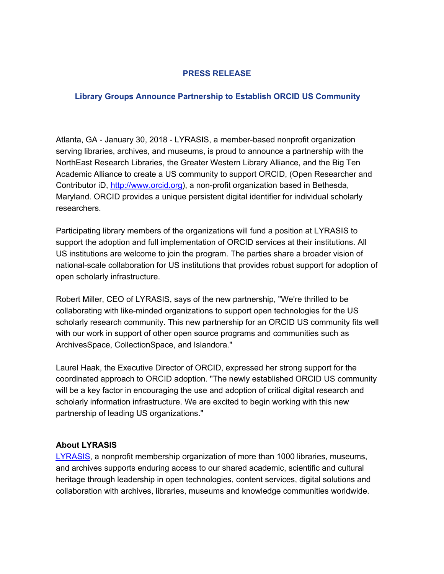# **PRESS RELEASE**

### **Library Groups Announce Partnership to Establish ORCID US Community**

Atlanta, GA - January 30, 2018 - LYRASIS, a member-based nonprofit organization serving libraries, archives, and museums, is proud to announce a partnership with the NorthEast Research Libraries, the Greater Western Library Alliance, and the Big Ten Academic Alliance to create a US community to support ORCID, (Open Researcher and Contributor iD, http://www.orcid.org), a non-profit organization based in Bethesda, Maryland. ORCID provides a unique persistent digital identifier for individual scholarly researchers.

Participating library members of the organizations will fund a position at LYRASIS to support the adoption and full implementation of ORCID services at their institutions. All US institutions are welcome to join the program. The parties share a broader vision of national-scale collaboration for US institutions that provides robust support for adoption of open scholarly infrastructure.

Robert Miller, CEO of LYRASIS, says of the new partnership, "We're thrilled to be collaborating with like-minded organizations to support open technologies for the US scholarly research community. This new partnership for an ORCID US community fits well with our work in support of other open source programs and communities such as ArchivesSpace, CollectionSpace, and Islandora."

Laurel Haak, the Executive Director of ORCID, expressed her strong support for the coordinated approach to ORCID adoption. "The newly established ORCID US community will be a key factor in encouraging the use and adoption of critical digital research and scholarly information infrastructure. We are excited to begin working with this new partnership of leading US organizations."

#### **About LYRASIS**

LYRASIS, a nonprofit membership organization of more than 1000 libraries, museums, and archives supports enduring access to our shared academic, scientific and cultural heritage through leadership in open technologies, content services, digital solutions and collaboration with archives, libraries, museums and knowledge communities worldwide.